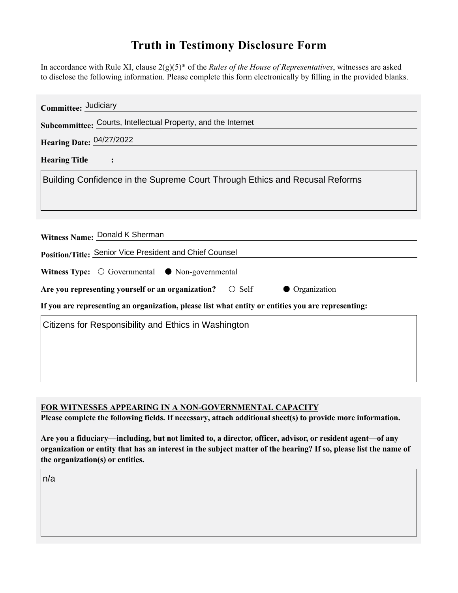## **Truth in Testimony Disclosure Form**

In accordance with Rule XI, clause 2(g)(5)\* of the *Rules of the House of Representatives*, witnesses are asked to disclose the following information. Please complete this form electronically by filling in the provided blanks.

| Committee: Judiciary                                                                               |
|----------------------------------------------------------------------------------------------------|
| Subcommittee: Courts, Intellectual Property, and the Internet                                      |
| Hearing Date: 04/27/2022                                                                           |
| <b>Hearing Title</b>                                                                               |
| Building Confidence in the Supreme Court Through Ethics and Recusal Reforms                        |
| Witness Name: Donald K Sherman<br>Position/Title: Senior Vice President and Chief Counsel          |
| Witness Type: $\bigcirc$ Governmental $\bullet$ Non-governmental                                   |
| Are you representing yourself or an organization?<br>$\bigcirc$ Self<br>Organization               |
| If you are representing an organization, please list what entity or entities you are representing: |
| Citizens for Responsibility and Ethics in Washington                                               |

**FOR WITNESSES APPEARING IN A NON-GOVERNMENTAL CAPACITY**

**Please complete the following fields. If necessary, attach additional sheet(s) to provide more information.**

**Are you a fiduciary—including, but not limited to, a director, officer, advisor, or resident agent—of any organization or entity that has an interest in the subject matter of the hearing? If so, please list the name of the organization(s) or entities.**

n/a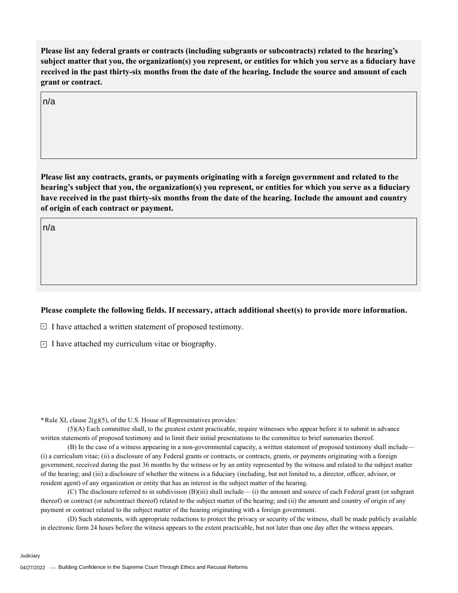**Please list any federal grants or contracts (including subgrants or subcontracts) related to the hearing's subject matter that you, the organization(s) you represent, or entities for which you serve as a fiduciary have received in the past thirty-six months from the date of the hearing. Include the source and amount of each grant or contract.** 

n/a

**Please list any contracts, grants, or payments originating with a foreign government and related to the hearing's subject that you, the organization(s) you represent, or entities for which you serve as a fiduciary have received in the past thirty-six months from the date of the hearing. Include the amount and country of origin of each contract or payment.** 

n/a

## **Please complete the following fields. If necessary, attach additional sheet(s) to provide more information.**

 $\exists$  I have attached a written statement of proposed testimony.

 $\subseteq$  I have attached my curriculum vitae or biography.

**\***Rule XI, clause 2(g)(5), of the U.S. House of Representatives provides:

(5)(A) Each committee shall, to the greatest extent practicable, require witnesses who appear before it to submit in advance written statements of proposed testimony and to limit their initial presentations to the committee to brief summaries thereof.

(B) In the case of a witness appearing in a non-governmental capacity, a written statement of proposed testimony shall include— (i) a curriculum vitae; (ii) a disclosure of any Federal grants or contracts, or contracts, grants, or payments originating with a foreign government, received during the past 36 months by the witness or by an entity represented by the witness and related to the subject matter of the hearing; and (iii) a disclosure of whether the witness is a fiduciary (including, but not limited to, a director, officer, advisor, or resident agent) of any organization or entity that has an interest in the subject matter of the hearing.

(C) The disclosure referred to in subdivision (B)(iii) shall include— (i) the amount and source of each Federal grant (or subgrant thereof) or contract (or subcontract thereof) related to the subject matter of the hearing; and (ii) the amount and country of origin of any payment or contract related to the subject matter of the hearing originating with a foreign government.

(D) Such statements, with appropriate redactions to protect the privacy or security of the witness, shall be made publicly available in electronic form 24 hours before the witness appears to the extent practicable, but not later than one day after the witness appears.

Judiciary